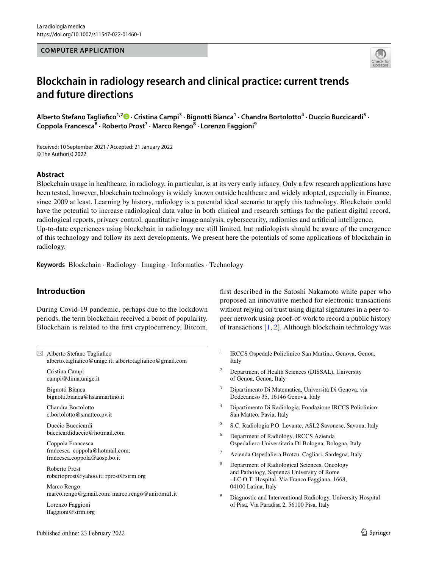#### **COMPUTER APPLICATION**



# **Blockchain in radiology research and clinical practice: current trends and future directions**

AlbertoStefano Tagliafico<sup>1,2</sup><sup>0</sup> · Cristina Campi<sup>3</sup> · Bignotti Bianca<sup>1</sup> · Chandra Bortolotto<sup>4</sup> · Duccio Buccicardi<sup>5</sup> · **Coppola Francesca<sup>6</sup> · Roberto Prost7 · Marco Rengo8 · Lorenzo Faggioni9**

Received: 10 September 2021 / Accepted: 21 January 2022 © The Author(s) 2022

#### **Abstract**

Blockchain usage in healthcare, in radiology, in particular, is at its very early infancy. Only a few research applications have been tested, however, blockchain technology is widely known outside healthcare and widely adopted, especially in Finance, since 2009 at least. Learning by history, radiology is a potential ideal scenario to apply this technology. Blockchain could have the potential to increase radiological data value in both clinical and research settings for the patient digital record, radiological reports, privacy control, quantitative image analysis, cybersecurity, radiomics and artifcial intelligence. Up-to-date experiences using blockchain in radiology are still limited, but radiologists should be aware of the emergence of this technology and follow its next developments. We present here the potentials of some applications of blockchain in radiology.

**Keywords** Blockchain · Radiology · Imaging · Informatics · Technology

# **Introduction**

During Covid-19 pandemic, perhaps due to the lockdown periods, the term blockchain received a boost of popularity. Blockchain is related to the frst cryptocurrency, Bitcoin,

 $\boxtimes$  Alberto Stefano Tagliafico alberto.tagliafco@unige.it; albertotagliafco@gmail.com Cristina Campi campi@dima.unige.it Bignotti Bianca bignotti.bianca@hsanmartino.it Chandra Bortolotto c.bortolotto@smatteo.pv.it Duccio Buccicardi buccicardiduccio@hotmail.com Coppola Francesca francesca\_coppola@hotmail.com; francesca.coppola@aosp.bo.it Roberto Prost robertoprost@yahoo.it; rprost@sirm.org Marco Rengo marco.rengo@gmail.com; marco.rengo@uniroma1.it Lorenzo Faggioni lfaggioni@sirm.org

frst described in the Satoshi Nakamoto white paper who proposed an innovative method for electronic transactions without relying on trust using digital signatures in a peer-topeer network using proof-of-work to record a public history of transactions [\[1](#page-5-0), [2](#page-5-1)]. Although blockchain technology was

- <sup>1</sup> IRCCS Ospedale Policlinico San Martino, Genova, Genoa, Italy
- <sup>2</sup> Department of Health Sciences (DISSAL), University of Genoa, Genoa, Italy
- <sup>3</sup> Dipartimento Di Matematica, Università Di Genova, via Dodecaneso 35, 16146 Genova, Italy
- <sup>4</sup> Dipartimento Di Radiologia, Fondazione IRCCS Policlinico San Matteo, Pavia, Italy
- <sup>5</sup> S.C. Radiologia P.O. Levante, ASL2 Savonese, Savona, Italy
- <sup>6</sup> Department of Radiology, IRCCS Azienda Ospedaliero-Universitaria Di Bologna, Bologna, Italy
- Azienda Ospedaliera Brotzu, Cagliari, Sardegna, Italy
- <sup>8</sup> Department of Radiological Sciences, Oncology and Pathology, Sapienza University of Rome - I.C.O.T. Hospital, Via Franco Faggiana, 1668, 04100 Latina, Italy
- Diagnostic and Interventional Radiology, University Hospital of Pisa, Via Paradisa 2, 56100 Pisa, Italy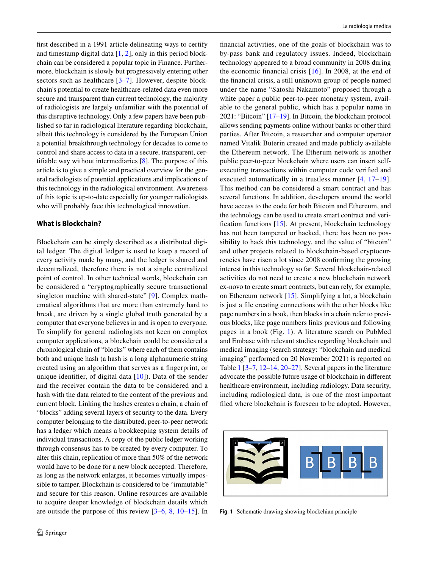frst described in a 1991 article delineating ways to certify and timestamp digital data [\[1](#page-5-0), [2](#page-5-1)], only in this period blockchain can be considered a popular topic in Finance. Furthermore, blockchain is slowly but progressively entering other sectors such as healthcare [[3–](#page-5-2)[7](#page-5-3)]. However, despite blockchain's potential to create healthcare-related data even more secure and transparent than current technology, the majority of radiologists are largely unfamiliar with the potential of this disruptive technology. Only a few papers have been published so far in radiological literature regarding blockchain, albeit this technology is considered by the European Union a potential breakthrough technology for decades to come to control and share access to data in a secure, transparent, certifable way without intermediaries [[8\]](#page-5-4). The purpose of this article is to give a simple and practical overview for the general radiologists of potential applications and implications of this technology in the radiological environment. Awareness of this topic is up-to-date especially for younger radiologists who will probably face this technological innovation.

#### **What is Blockchain?**

Blockchain can be simply described as a distributed digital ledger. The digital ledger is used to keep a record of every activity made by many, and the ledger is shared and decentralized, therefore there is not a single centralized point of control. In other technical words, blockchain can be considered a "cryptographically secure transactional singleton machine with shared-state" [[9\]](#page-5-5). Complex mathematical algorithms that are more than extremely hard to break, are driven by a single global truth generated by a computer that everyone believes in and is open to everyone. To simplify for general radiologists not keen on complex computer applications, a blockchain could be considered a chronological chain of "blocks" where each of them contains both and unique hash (a hash is a long alphanumeric string created using an algorithm that serves as a fngerprint, or unique identifer, of digital data [[10\]](#page-5-6)). Data of the sender and the receiver contain the data to be considered and a hash with the data related to the content of the previous and current block. Linking the hashes creates a chain, a chain of "blocks" adding several layers of security to the data. Every computer belonging to the distributed, peer-to-peer network has a ledger which means a bookkeeping system details of individual transactions. A copy of the public ledger working through consensus has to be created by every computer. To alter this chain, replication of more than 50% of the network would have to be done for a new block accepted. Therefore, as long as the network enlarges, it becomes virtually impossible to tamper. Blockchain is considered to be "immutable" and secure for this reason. Online resources are available to acquire deeper knowledge of blockchain details which are outside the purpose of this review [\[3](#page-5-2)–[6,](#page-5-7) [8](#page-5-4), [10](#page-5-6)[–15\]](#page-6-0). In fnancial activities, one of the goals of blockchain was to by-pass bank and regulatory issues. Indeed, blockchain technology appeared to a broad community in 2008 during the economic fnancial crisis [\[16\]](#page-6-1). In 2008, at the end of the fnancial crisis, a still unknown group of people named under the name "Satoshi Nakamoto" proposed through a white paper a public peer-to-peer monetary system, available to the general public, which has a popular name in 2021: "Bitcoin" [\[17](#page-6-2)[–19](#page-6-3)]. In Bitcoin, the blockchain protocol allows sending payments online without banks or other third parties. After Bitcoin, a researcher and computer operator named Vitalik Buterin created and made publicly available the Ethereum network. The Etherum network is another public peer-to-peer blockchain where users can insert selfexecuting transactions within computer code verifed and executed automatically in a trustless manner [[4](#page-5-8), [17–](#page-6-2)[19](#page-6-3)]. This method can be considered a smart contract and has several functions. In addition, developers around the world have access to the code for both Bitcoin and Ethereum, and the technology can be used to create smart contract and verifcation functions [\[15\]](#page-6-0). At present, blockchain technology has not been tampered or hacked, there has been no possibility to hack this technology, and the value of "bitcoin" and other projects related to blockchain-based cryptocurrencies have risen a lot since 2008 confrming the growing interest in this technology so far. Several blockchain-related activities do not need to create a new blockchain network ex-novo to create smart contracts, but can rely, for example, on Ethereum network [[15](#page-6-0)]. Simplifying a lot, a blockchain is just a fle creating connections with the other blocks like page numbers in a book, then blocks in a chain refer to previous blocks, like page numbers links previous and following pages in a book (Fig. [1\)](#page-1-0). A literature search on PubMed and Embase with relevant studies regarding blockchain and medical imaging (search strategy: "blockchain and medical imaging" performed on 20 November 2021) is reported on Table [1](#page-2-0) [\[3](#page-5-2)[–7](#page-5-3), [12–](#page-6-4)[14,](#page-6-5) [20–](#page-6-6)[27\]](#page-6-7). Several papers in the literature advocate the possible future usage of blockchain in diferent healthcare environment, including radiology. Data security, including radiological data, is one of the most important fled where blockchain is foreseen to be adopted. However,

<span id="page-1-0"></span>

**Fig. 1** Schematic drawing showing blockchian principle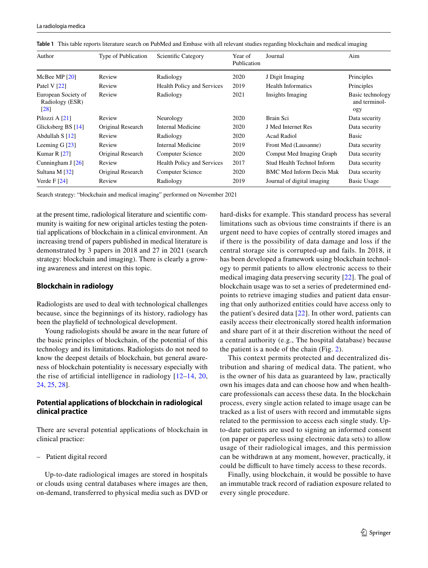| Author                                         | Type of Publication | Scientific Category               | Year of<br>Publication | Journal                    | Aim                                      |
|------------------------------------------------|---------------------|-----------------------------------|------------------------|----------------------------|------------------------------------------|
| McBee MP $[20]$                                | Review              | Radiology                         | 2020                   | J Digit Imaging            | Principles                               |
| Patel V $[22]$                                 | Review              | <b>Health Policy and Services</b> | 2019                   | <b>Health Informatics</b>  | Principles                               |
| European Society of<br>Radiology (ESR)<br>[28] | Review              | Radiology                         | 2021                   | Insights Imaging           | Basic technology<br>and terminol-<br>ogy |
| Pilozzi A [21]                                 | Review              | Neurology                         | 2020                   | Brain Sci                  | Data security                            |
| Glicksberg BS [14]                             | Original Research   | Internal Medicine                 | 2020                   | J Med Internet Res         | Data security                            |
| Abdullah S [12]                                | Review              | Radiology                         | 2020                   | <b>Acad Radiol</b>         | Basic                                    |
| Leeming $G$ [23]                               | Review              | Internal Medicine                 | 2019                   | Front Med (Lausanne)       | Data security                            |
| Kumar R $[27]$                                 | Original Research   | <b>Computer Science</b>           | 2020                   | Comput Med Imaging Graph   | Data security                            |
| Cunningham J $[26]$                            | Review              | <b>Health Policy and Services</b> | 2017                   | Stud Health Technol Inform | Data security                            |
| Sultana M [32]                                 | Original Research   | <b>Computer Science</b>           | 2020                   | BMC Med Inform Decis Mak   | Data security                            |
| Verde F $[24]$                                 | Review              | Radiology                         | 2019                   | Journal of digital imaging | <b>Basic Usage</b>                       |

<span id="page-2-0"></span>**Table 1** This table reports literature search on PubMed and Embase with all relevant studies regarding blockchain and medical imaging

Search strategy: "blockchain and medical imaging" performed on November 2021

at the present time, radiological literature and scientifc community is waiting for new original articles testing the potential applications of blockchain in a clinical environment. An increasing trend of papers published in medical literature is demonstrated by 3 papers in 2018 and 27 in 2021 (search strategy: blockchain and imaging). There is clearly a growing awareness and interest on this topic.

#### **Blockchain in radiology**

Radiologists are used to deal with technological challenges because, since the beginnings of its history, radiology has been the playfeld of technological development.

Young radiologists should be aware in the near future of the basic principles of blockchain, of the potential of this technology and its limitations. Radiologists do not need to know the deepest details of blockchain, but general awareness of blockchain potentiality is necessary especially with the rise of artifcial intelligence in radiology [[12](#page-6-4)[–14,](#page-6-5) [20,](#page-6-6) [24](#page-6-8), [25](#page-6-9), [28](#page-6-10)].

## **Potential applications of blockchain in radiological clinical practice**

There are several potential applications of blockchain in clinical practice:

– Patient digital record

Up-to-date radiological images are stored in hospitals or clouds using central databases where images are then, on-demand, transferred to physical media such as DVD or hard-disks for example. This standard process has several limitations such as obvious time constraints if there is an urgent need to have copies of centrally stored images and if there is the possibility of data damage and loss if the central storage site is corrupted-up and fails. In 2018, it has been developed a framework using blockchain technology to permit patients to allow electronic access to their medical imaging data preserving security [\[22\]](#page-6-11). The goal of blockchain usage was to set a series of predetermined endpoints to retrieve imaging studies and patient data ensuring that only authorized entities could have access only to the patient's desired data [[22](#page-6-11)]. In other word, patients can easily access their electronically stored health information and share part of it at their discretion without the need of a central authority (e.g., The hospital database) because the patient is a node of the chain (Fig. [2\)](#page-3-0).

This context permits protected and decentralized distribution and sharing of medical data. The patient, who is the owner of his data as guaranteed by law, practically own his images data and can choose how and when healthcare professionals can access these data. In the blockchain process, every single action related to image usage can be tracked as a list of users with record and immutable signs related to the permission to access each single study. Upto-date patients are used to signing an informed consent (on paper or paperless using electronic data sets) to allow usage of their radiological images, and this permission can be withdrawn at any moment, however, practically, it could be difficult to have timely access to these records.

Finally, using blockchain, it would be possible to have an immutable track record of radiation exposure related to every single procedure.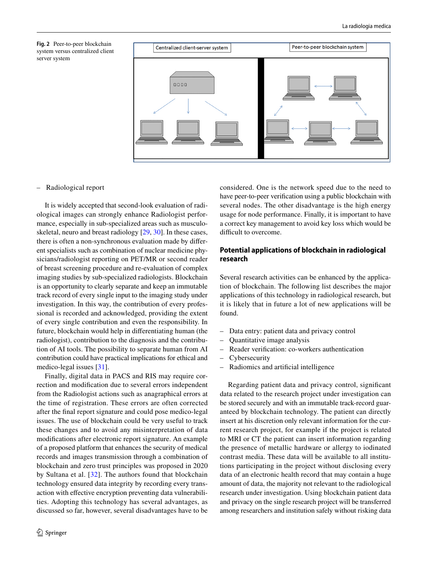<span id="page-3-0"></span>



#### – Radiological report

It is widely accepted that second-look evaluation of radiological images can strongly enhance Radiologist performance, especially in sub-specialized areas such as musculoskeletal, neuro and breast radiology [[29,](#page-6-16) [30\]](#page-6-17). In these cases, there is often a non-synchronous evaluation made by diferent specialists such as combination of nuclear medicine physicians/radiologist reporting on PET/MR or second reader of breast screening procedure and re-evaluation of complex imaging studies by sub-specialized radiologists. Blockchain is an opportunity to clearly separate and keep an immutable track record of every single input to the imaging study under investigation. In this way, the contribution of every professional is recorded and acknowledged, providing the extent of every single contribution and even the responsibility. In future, blockchain would help in diferentiating human (the radiologist), contribution to the diagnosis and the contribution of AI tools. The possibility to separate human from AI contribution could have practical implications for ethical and medico-legal issues [\[31](#page-6-18)].

Finally, digital data in PACS and RIS may require correction and modifcation due to several errors independent from the Radiologist actions such as anagraphical errors at the time of registration. These errors are often corrected after the fnal report signature and could pose medico-legal issues. The use of blockchain could be very useful to track these changes and to avoid any misinterpretation of data modifcations after electronic report signature. An example of a proposed platform that enhances the security of medical records and images transmission through a combination of blockchain and zero trust principles was proposed in 2020 by Sultana et al. [[32](#page-6-15)]. The authors found that blockchain technology ensured data integrity by recording every transaction with effective encryption preventing data vulnerabilities. Adopting this technology has several advantages, as discussed so far, however, several disadvantages have to be considered. One is the network speed due to the need to have peer-to-peer verifcation using a public blockchain with several nodes. The other disadvantage is the high energy usage for node performance. Finally, it is important to have a correct key management to avoid key loss which would be difficult to overcome.

## **Potential applications of blockchain in radiological research**

Several research activities can be enhanced by the application of blockchain. The following list describes the major applications of this technology in radiological research, but it is likely that in future a lot of new applications will be found.

- Data entry: patient data and privacy control
- Quantitative image analysis
- Reader verifcation: co-workers authentication
- Cybersecurity
- Radiomics and artifcial intelligence

Regarding patient data and privacy control, signifcant data related to the research project under investigation can be stored securely and with an immutable track-record guaranteed by blockchain technology. The patient can directly insert at his discretion only relevant information for the current research project, for example if the project is related to MRI or CT the patient can insert information regarding the presence of metallic hardware or allergy to iodinated contrast media. These data will be available to all institutions participating in the project without disclosing every data of an electronic health record that may contain a huge amount of data, the majority not relevant to the radiological research under investigation. Using blockchain patient data and privacy on the single research project will be transferred among researchers and institution safely without risking data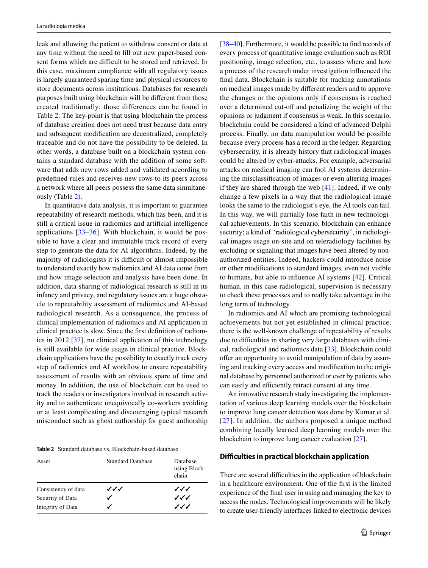leak and allowing the patient to withdraw consent or data at any time without the need to fll out new paper-based consent forms which are difficult to be stored and retrieved. In this case, maximum compliance with all regulatory issues is largely guaranteed sparing time and physical resources to store documents across institutions. Databases for research purposes built using blockchain will be diferent from those created traditionally: those differences can be found in Table [2](#page-4-0). The key-point is that using blockchain the process of database creation does not need trust because data entry and subsequent modifcation are decentralized, completely traceable and do not have the possibility to be deleted. In other words, a database built on a blockchain system contains a standard database with the addition of some software that adds new rows added and validated according to predefned rules and receives new rows to its peers across a network where all peers possess the same data simultaneously (Table [2\)](#page-4-0).

In quantitative data analysis, it is important to guarantee repeatability of research methods, which has been, and it is still a critical issue in radiomics and artifcial intelligence applications [[33](#page-6-19)[–36\]](#page-6-20). With blockchain, it would be possible to have a clear and immutable track record of every step to generate the data for AI algorithms. Indeed, by the majority of radiologists it is difficult or almost impossible to understand exactly how radiomics and AI data come from and how image selection and analysis have been done. In addition, data sharing of radiological research is still in its infancy and privacy, and regulatory issues are a huge obstacle to repeatability assessment of radiomics and AI-based radiological research. As a consequence, the process of clinical implementation of radiomics and AI application in clinical practice is slow. Since the frst defnition of radiomics in 2012 [\[37\]](#page-6-21), no clinical application of this technology is still available for wide usage in clinical practice. Blockchain applications have the possibility to exactly track every step of radiomics and AI workflow to ensure repeatability assessment of results with an obvious spare of time and money. In addition, the use of blockchain can be used to track the readers or investigators involved in research activity and to authenticate unequivocally co-workers avoiding or at least complicating and discouraging typical research misconduct such as ghost authorship for guest authorship

<span id="page-4-0"></span>**Table 2** Standard database vs. Blockchain-based database

| Asset               | <b>Standard Database</b> | Database<br>using Block-<br>chain |
|---------------------|--------------------------|-----------------------------------|
| Consistency of data | ンンノ                      | ンンノ                               |
| Security of Data    |                          | ンンノ                               |
| Integrity of Data   |                          | ノノノ                               |

[\[38](#page-6-22)[–40](#page-6-23)]. Furthermore, it would be possible to find records of every process of quantitative image evaluation such as ROI positioning, image selection, etc., to assess where and how a process of the research under investigation infuenced the fnal data. Blockchain is suitable for tracking annotations on medical images made by diferent readers and to approve the changes or the opinions only if consensus is reached over a determined cut-off and penalizing the weight of the opinions or judgment if consensus is weak. In this scenario, blockchain could be considered a kind of advanced Delphi process. Finally, no data manipulation would be possible because every process has a record in the ledger. Regarding cybersecurity, it is already history that radiological images could be altered by cyber-attacks. For example, adversarial attacks on medical imaging can fool AI systems determining the misclassifcation of images or even altering images if they are shared through the web [[41\]](#page-6-24). Indeed, if we only change a few pixels in a way that the radiological image looks the same to the radiologist's eye, the AI tools can fail. In this way, we will partially lose faith in new technological achievements. In this scenario, blockchain can enhance security; a kind of "radiological cybersecurity", in radiological images usage on-site and on teleradiology facilities by excluding or signaling that images have been altered by nonauthorized entities. Indeed, hackers could introduce noise or other modifcations to standard images, even not visible to humans, but able to infuence AI systems [[42](#page-6-25)]. Critical human, in this case radiological, supervision is necessary to check these processes and to really take advantage in the long term of technology.

In radiomics and AI which are promising technological achievements but not yet established in clinical practice, there is the well-known challenge of repeatability of results due to difficulties in sharing very large databases with clinical, radiological and radiomics data [\[33\]](#page-6-19). Blockchain could offer an opportunity to avoid manipulation of data by assuring and tracking every access and modifcation to the original database by personnel authorized or ever by patients who can easily and efficiently retract consent at any time.

An innovative research study investigating the implementation of various deep learning models over the blockchain to improve lung cancer detection was done by Kumar et al. [[27](#page-6-7)]. In addition, the authors proposed a unique method combining locally learned deep learning models over the blockchain to improve lung cancer evaluation [\[27](#page-6-7)].

#### **Difculties in practical blockchain application**

There are several difficulties in the application of blockchain in a healthcare environment. One of the frst is the limited experience of the fnal user in using and managing the key to access the nodes. Technological improvements will be likely to create user-friendly interfaces linked to electronic devices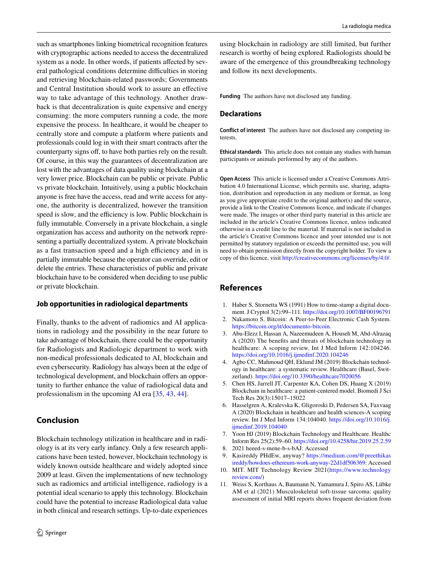such as smartphones linking biometrical recognition features with cryptographic actions needed to access the decentralized system as a node. In other words, if patients affected by several pathological conditions determine difficulties in storing and retrieving blockchain-related passwords; Governments and Central Institution should work to assure an efective way to take advantage of this technology. Another drawback is that decentralization is quite expensive and energy consuming: the more computers running a code, the more expensive the process. In healthcare, it would be cheaper to centrally store and compute a platform where patients and professionals could log in with their smart contracts after the counterparty signs off, to have both parties rely on the result. Of course, in this way the guarantees of decentralization are lost with the advantages of data quality using blockchain at a very lower price. Blockchain can be public or private. Public vs private blockchain. Intuitively, using a public blockchain anyone is free have the access, read and write access for anyone, the authority is decentralized, however the transition speed is slow, and the efficiency is low. Public blockchain is fully immutable. Conversely in a private blockchain, a single organization has access and authority on the network representing a partially decentralized system. A private blockchain as a fast transaction speed and a high efficiency and in is partially immutable because the operator can override, edit or delete the entries. These characteristics of public and private blockchain have to be considered when deciding to use public or private blockchain.

#### **Job opportunities in radiological departments**

Finally, thanks to the advent of radiomics and AI applications in radiology and the possibility in the near future to take advantage of blockchain, there could be the opportunity for Radiologists and Radiologic department to work with non-medical professionals dedicated to AI, blockchain and even cybersecurity. Radiology has always been at the edge of technological development, and blockchain offers an opportunity to further enhance the value of radiological data and professionalism in the upcoming AI era [\[35](#page-6-26), [43,](#page-6-27) [44\]](#page-6-28).

# **Conclusion**

Blockchain technology utilization in healthcare and in radiology is at its very early infancy. Only a few research applications have been tested, however, blockchain technology is widely known outside healthcare and widely adopted since 2009 at least. Given the implementations of new technology such as radiomics and artifcial intelligence, radiology is a potential ideal scenario to apply this technology. Blockchain could have the potential to increase Radiological data value in both clinical and research settings. Up-to-date experiences using blockchain in radiology are still limited, but further research is worthy of being explored. Radiologists should be aware of the emergence of this groundbreaking technology and follow its next developments.

**Funding** The authors have not disclosed any funding.

## **Declarations**

**Conflict of interest** The authors have not disclosed any competing interests.

**Ethical standards** This article does not contain any studies with human participants or animals performed by any of the authors.

**Open Access** This article is licensed under a Creative Commons Attribution 4.0 International License, which permits use, sharing, adaptation, distribution and reproduction in any medium or format, as long as you give appropriate credit to the original author(s) and the source, provide a link to the Creative Commons licence, and indicate if changes were made. The images or other third party material in this article are included in the article's Creative Commons licence, unless indicated otherwise in a credit line to the material. If material is not included in the article's Creative Commons licence and your intended use is not permitted by statutory regulation or exceeds the permitted use, you will need to obtain permission directly from the copyright holder. To view a copy of this licence, visit<http://creativecommons.org/licenses/by/4.0/>.

## **References**

- <span id="page-5-0"></span>1. Haber S, Stornetta WS (1991) How to time-stamp a digital document. J Cryptol 3(2):99–111.<https://doi.org/10.1007/BF00196791>
- <span id="page-5-1"></span>2. Nakamoto S. Bitcoin: A Peer-to-Peer Electronic Cash System. <https://bitcoin.org/it/documento-bitcoin>.
- <span id="page-5-2"></span>3. Abu-Elezz I, Hassan A, Nazeemudeen A, Househ M, Abd-Alrazaq A (2020) The benefts and threats of blockchain technology in healthcare: A scoping review. Int J Med Inform 142:104246. <https://doi.org/10.1016/j.ijmedinf.2020.104246>
- <span id="page-5-8"></span>4. Agbo CC, Mahmoud QH, Eklund JM (2019) Blockchain technology in healthcare: a systematic review. Healthcare (Basel, Switzerland). <https://doi.org/10.3390/healthcare7020056>
- 5. Chen HS, Jarrell JT, Carpenter KA, Cohen DS, Huang X (2019) Blockchain in healthcare: a patient-centered model. Biomedi J Sci Tech Res 20(3):15017–15022
- <span id="page-5-7"></span>6. Hasselgren A, Kralevska K, Gligoroski D, Pedersen SA, Faxvaag A (2020) Blockchain in healthcare and health sciences-A scoping review. Int J Med Inform 134:104040. [https://doi.org/10.1016/j.](https://doi.org/10.1016/j.ijmedinf.2019.104040) [ijmedinf.2019.104040](https://doi.org/10.1016/j.ijmedinf.2019.104040)
- <span id="page-5-3"></span>7. Yoon HJ (2019) Blockchain Technology and Healthcare. Healthc Inform Res 25(2):59–60.<https://doi.org/10.4258/hir.2019.25.2.59>
- <span id="page-5-4"></span>8. 2021 heeed-s-mene-b-s-bAJ: Accessed
- <span id="page-5-5"></span>9. Kasireddy PHdEw, anyway? [https://medium.com/@preethikas](https://medium.com/@preethikasireddy/howdoes-ethereum-work-anyway-22d1df506369) [ireddy/howdoes-ethereum-work-anyway-22d1df506369](https://medium.com/@preethikasireddy/howdoes-ethereum-work-anyway-22d1df506369): Accessed
- <span id="page-5-6"></span>10. MIT. MIT Technology Review 2021([https://www.technology](https://www.technologyreview.com/) [review.com/\)](https://www.technologyreview.com/)
- 11. Weiss S, Korthaus A, Baumann N, Yamamura J, Spiro AS, Lübke AM et al (2021) Musculoskeletal soft-tissue sarcoma: quality assessment of initial MRI reports shows frequent deviation from